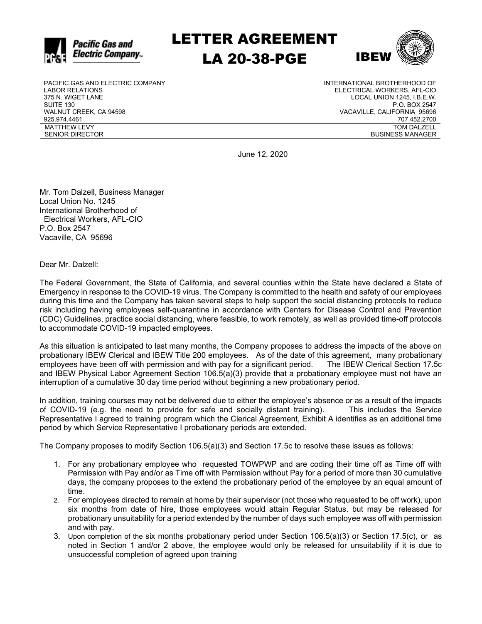

LETTER AGREEMENT LA 20-38-PGE



PACIFIC GAS AND ELECTRIC COMPANY LABOR RELATIONS 375 N. WIGET LANE SUITE 130 WALNUT CREEK, CA 94598 925.974.4461 MATTHEW LEVY SENIOR DIRECTOR

INTERNATIONAL BROTHERHOOD OF ELECTRICAL WORKERS, AFL-CIO LOCAL UNION 1245, I.B.E.W. P.O. BOX 2547 VACAVILLE, CALIFORNIA 95696 707.452.2700 TOM DALZELL BUSINESS MANAGER

June 12, 2020

Mr. Tom Dalzell, Business Manager Local Union No. 1245 International Brotherhood of Electrical Workers, AFL-CIO P.O. Box 2547 Vacaville, CA 95696

Dear Mr. Dalzell:

The Federal Government, the State of California, and several counties within the State have declared a State of Emergency in response to the COVID-19 virus. The Company is committed to the health and safety of our employees during this time and the Company has taken several steps to help support the social distancing protocols to reduce risk including having employees self-quarantine in accordance with Centers for Disease Control and Prevention (CDC) Guidelines, practice social distancing, where feasible, to work remotely, as well as provided time-off protocols to accommodate COVID-19 impacted employees.

As this situation is anticipated to last many months, the Company proposes to address the impacts of the above on probationary IBEW Clerical and IBEW Title 200 employees. As of the date of this agreement, many probationary employees have been off with permission and with pay for a significant period. The IBEW Clerical Section 17.5c employees have been off with permission and with pay for a significant period. and IBEW Physical Labor Agreement Section 106.5(a)(3) provide that a probationary employee must not have an interruption of a cumulative 30 day time period without beginning a new probationary period.

In addition, training courses may not be delivered due to either the employee's absence or as a result of the impacts of COVID-19 (e.g. the need to provide for safe and socially distant training). This includes the Service Representative I agreed to training program which the Clerical Agreement, Exhibit A identifies as an additional time period by which Service Representative I probationary periods are extended.

The Company proposes to modify Section 106.5(a)(3) and Section 17.5c to resolve these issues as follows:

- 1. For any probationary employee who requested TOWPWP and are coding their time off as Time off with Permission with Pay and/or as Time off with Permission without Pay for a period of more than 30 cumulative days, the company proposes to the extend the probationary period of the employee by an equal amount of time.
- 2. For employees directed to remain at home by their supervisor (not those who requested to be off work), upon six months from date of hire, those employees would attain Regular Status. but may be released for probationary unsuitability for a period extended by the number of days such employee was off with permission and with pay.
- 3. Upon completion of the six months probationary period under Section 106.5(a)(3) or Section 17.5(c), or as noted in Section 1 and/or 2 above, the employee would only be released for unsuitability if it is due to unsuccessful completion of agreed upon training